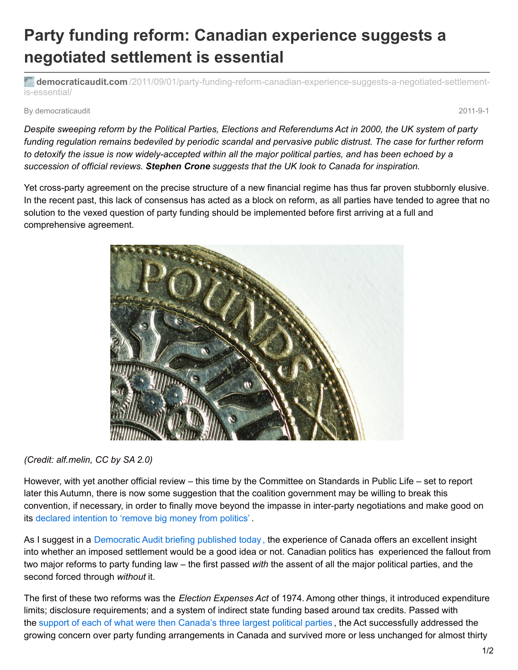## **Party funding reform: Canadian experience suggests a negotiated settlement is essential**

**democraticaudit.com** [/2011/09/01/party-funding-reform-canadian-experience-suggests-a-negotiated-settlement](http://www.democraticaudit.com/2011/09/01/party-funding-reform-canadian-experience-suggests-a-negotiated-settlement-is-essential/)is-essential/

By democraticaudit 2011-9-1

Despite sweeping reform by the Political Parties, Elections and Referendums Act in 2000, the UK system of party funding regulation remains bedeviled by periodic scandal and pervasive public distrust. The case for further reform to detoxify the issue is now widely-accepted within all the major political parties, and has been echoed by a *succession of official reviews. Stephen Crone suggests that the UK look to Canada for inspiration.*

Yet cross-party agreement on the precise structure of a new financial regime has thus far proven stubbornly elusive. In the recent past, this lack of consensus has acted as a block on reform, as all parties have tended to agree that no solution to the vexed question of party funding should be implemented before first arriving at a full and comprehensive agreement.



*(Credit: alf.melin, CC by SA 2.0)*

However, with yet another official review – this time by the Committee on Standards in Public Life – set to report later this Autumn, there is now some suggestion that the coalition government may be willing to break this convention, if necessary, in order to finally move beyond the impasse in inter-party negotiations and make good on its [declared](http://www.direct.gov.uk/prod_consum_dg/groups/dg_digitalassets/@dg/@en/documents/digitalasset/dg_187876.pdf) intention to 'remove big money from politics' .

As I suggest in a [Democratic](http://filestore.democraticaudit.com/file/36b48a0f0ff1cea52fdc30529fed04e4-1314701140/lessons-from-canada---stephen-crone.pdf) Audit briefing published today [,](http://filestore.democraticaudit.com/file/36b48a0f0ff1cea52fdc30529fed04e4-1314701140/lessons-from-canada---stephen-crone.pdf) the experience of Canada offers an excellent insight into whether an imposed settlement would be a good idea or not. Canadian politics has experienced the fallout from two major reforms to party funding law – the first passed *with* the assent of all the major political parties, and the second forced through *without* it.

The first of these two reforms was the *Election Expenses Act* of 1974. Among other things, it introduced expenditure limits; disclosure requirements; and a system of indirect state funding based around tax credits. Passed with the support of each of what were then [Canada's](http://www.wcfia.harvard.edu/sites/default/files/Young Political Finance May 08.pdf) three largest political parties , the Act successfully addressed the growing concern over party funding arrangements in Canada and survived more or less unchanged for almost thirty